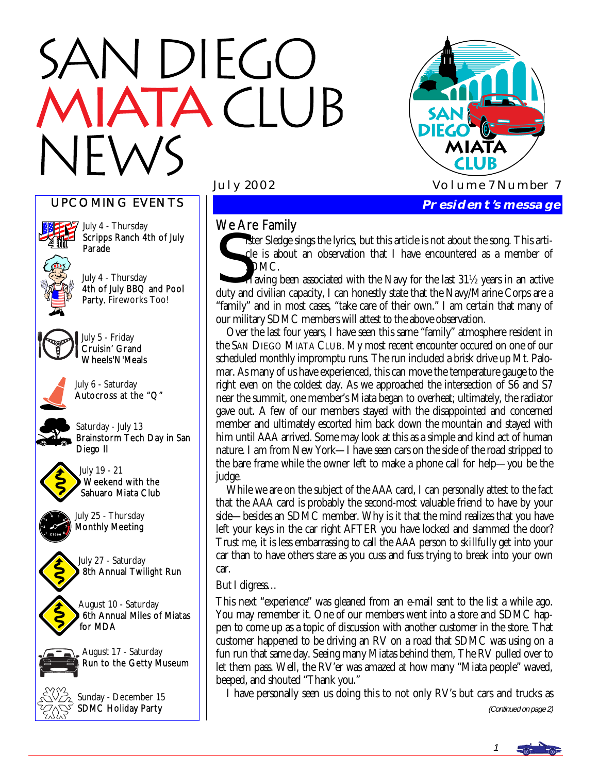# N DIEGO **TACLUB**



# UPCOMING EVENTS



July 4 - Thursday Scripps Ranch 4th of July Parade

July 4 - Thursday 4th of July BBQ and Pool Party. Fireworks Too!



July 5 - Friday Cruisin' Grand Wheels'N'Meals



July 6 - Saturday Autocross at the "Q"

Saturday - July 13 Brainstorm Tech Day in San Diego II



July 19 - 21 Weekend with the Sahuaro Miata Club



July 27 - Saturday 8th Annual Twilight Run

August 10 - Saturday 6th Annual Miles of Miatas for MDA



August 17 - Saturday Run to the Getty Museum



Sunday - December 15 SDMC Holiday Party

We Are Family<br>
siter Sledge si<br>
cle is about<br>
SDMC.<br>
Having been ister Sledge sings the lyrics, but this article is not about the song. This article is about an observation that I have encountered as a member of SDMC.

Having been associated with the Navy for the last 31½ years in an active duty and civilian capacity, I can honestly state that the Navy/Marine Corps are a "family" and in most cases, "take care of their own." I am certain that many of our military SDMC members will attest to the above observation.

 Over the last four years, I have seen this same "family" atmosphere resident in the SAN DIEGO MIATA CLUB. My most recent encounter occured on one of our scheduled monthly impromptu runs. The run included a brisk drive up Mt. Palomar. As many of us have experienced, this can move the temperature gauge to the right even on the coldest day. As we approached the intersection of S6 and S7 near the summit, one member's Miata began to overheat; ultimately, the radiator gave out. A few of our members stayed with the disappointed and concerned member and ultimately escorted him back down the mountain and stayed with him until AAA arrived. Some may look at this as a simple and kind act of human nature. I am from New York—I have seen cars on the side of the road stripped to the bare frame while the owner left to make a phone call for help—you be the judge.

 While we are on the subject of the AAA card, I can personally attest to the fact that the AAA card is probably the second-most valuable friend to have by your side—besides an SDMC member. Why is it that the mind realizes that you have left your keys in the car right AFTER you have locked and slammed the door? Trust me, it is less embarrassing to call the AAA person to *skillfully* get into your car than to have others stare as you cuss and fuss trying to break into your own car.

#### But I digress…

This next "experience" was gleaned from an e-mail sent to the list a while ago. You may remember it. One of our members went into a store and SDMC happen to come up as a topic of discussion with another customer in the store. That customer happened to be driving an RV on a road that SDMC was using on a fun run that same day. Seeing many Miatas behind them, The RV pulled over to let them pass. Well, the RV'er was amazed at how many "Miata people" waved, beeped, and shouted "Thank you."

I have personally seen us doing this to not only RV's but cars and trucks as

(Continued on page 2)

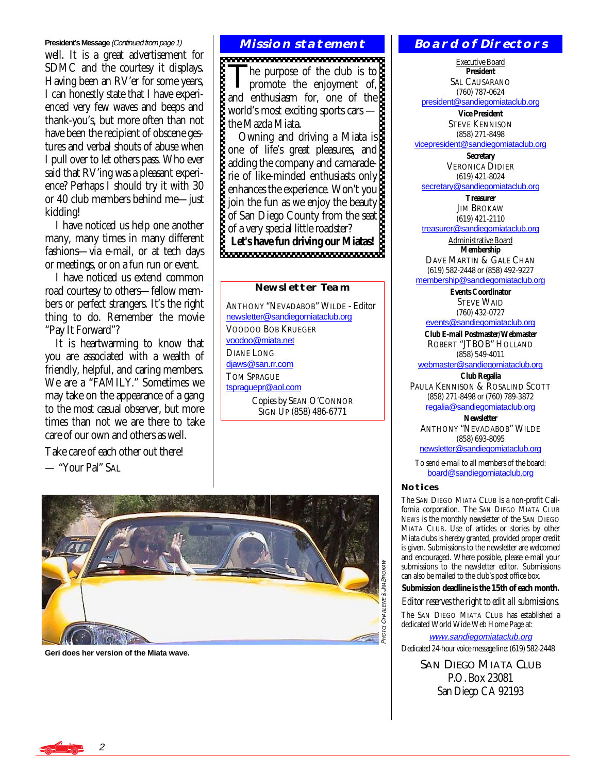#### **President's Message** (Continued from page 1)

well. It is a great advertisement for SDMC and the courtesy it displays. Having been an RV'er for some years, I can honestly state that I have experienced very few waves and beeps and thank-you's, but more often than not have been the recipient of obscene gestures and verbal shouts of abuse when I pull over to let others pass. Who ever said that RV'ing was a pleasant experience? Perhaps I should try it with 30 or 40 club members behind me—just kidding!

 I have noticed us help one another many, many times in many different fashions—via e-mail, or at tech days or meetings, or on a fun run or event.

 I have noticed us extend common road courtesy to others—fellow members or perfect strangers. It's the right thing to do. Remember the movie "Pay It Forward"?

 It is heartwarming to know that you are associated with a wealth of friendly, helpful, and caring members. We are a "FAMILY." Sometimes we may take on the appearance of a gang to the most casual observer, but more times than not we are there to take care of our own and others as well.

Take care of each other out there!

— "Your Pal" SAL

#### **Mission statement**

The purpose of the club is to<br>promote the enjoyment of, and enthusiasm for, one of the world's most exciting sports cars the Mazda Miata.

 Owning and driving a Miata is one of life's great pleasures, and adding the company and camaraderie of like-minded enthusiasts only enhances the experience. Won't you join the fun as we enjoy the beauty of San Diego County from the seat of a very special little roadster? **Let's have fun driving our Miatas!** 

#### **Newsletter Team**

ANTHONY "NEVADABOB" WILDE - Editor [newsletter@sandiegomiataclub.org](mailto:newsletter@sandiegomiataclub.org) VOODOO BOB KRUEGER [voodoo@miata.net](mailto:voodoo@miata.net) DIANE LONG [djaws@san.rr.com](mailto:djaws@san.rr.com) TOM SPRAGUE [tspraguepr@aol.com](mailto:tspraguepr@aol.com) Copies by SEAN O'CONNOR SIGN UP (858) 486-6771



**Geri does her version of the Miata wave.** 

#### **Board of Directors**

Executive Board **President**  SAL CAUSARANO (760) 787-0624

[president@sandiegomiataclub.org](mailto:president@sandiegomiataclub.org)

**Vice President**  STEVE KENNISON (858) 271-8498 [vicepresident@sandiegomiataclub.org](mailto:vicepresident@sandiegomiataclub.org)

> **Secretary**  VERONICA DIDIER (619) 421-8024

[secretary@sandiegomiataclub.org](mailto:secretary@sandiegomiataclub.org) **Treasurer** 

JIM BROKAW (619) 421-2110

[treasurer@sandiegomiataclub.org](mailto:treasurer@sandiegomiataclub.org)

Administrative Board **Membership** 

DAVE MARTIN & GALE CHAN (619) 582-2448 or (858) 492-9227

[membership@sandiegomiataclub.org](mailto:membership@sandiegomiataclub.org)

**Events Coordinator**  STEVE WAID (760) 432-0727

[events@sandiegomiataclub.org](mailto:events@sandiegomiataclub.org)

**Club E-mail Postmaster/Webmaster**  ROBERT "JTBOB" HOLLAND (858) 549-4011

[webmaster@sandiegomiataclub.org](mailto:webmaster@sandiegomiataclub.org) **Club Regalia** 

PAULA KENNISON & ROSALIND SCOTT (858) 271-8498 or (760) 789-3872 [regalia@sandiegomiataclub.org](mailto:regalia@sandiegomiataclub.org)

**Newsletter**  ANTHONY "NEVADABOB" WILDE (858) 693-8095

[newsletter@sandiegomiataclub.org](mailto:newsletter@sandiegomiataclub.org)

To send e-mail to all members of the board: [board@sandiegomiataclub.org](mailto:board@sandiegomiataclub.org)

#### **Notices**

The SAN DIEGO MIATA CLUB is a non-profit California corporation. The *SAN DIEGO MIATA CLUB NEWS* is the monthly newsletter of the SAN DIEGO MIATA CLUB. Use of articles or stories by other Miata clubs is hereby granted, provided proper credit is given. Submissions to the newsletter are welcomed and encouraged. Where possible, please e-mail your submissions to the newsletter editor. Submissions can also be mailed to the club's post office box.

#### **Submission deadline is the 15th of each month.**

*Editor reserves the right to edit all submissions.*

The SAN DIEGO MIATA CLUB has established a dedicated World Wide Web Home Page at:

[www.sandiegomiataclub.org](http://www.sandiegomiataclub.org)

Dedicated 24-hour voice message line: (619) 582-2448

**SAN DIEGO MIATA CLUB** P.O. Box 23081 San Diego CA 92193

2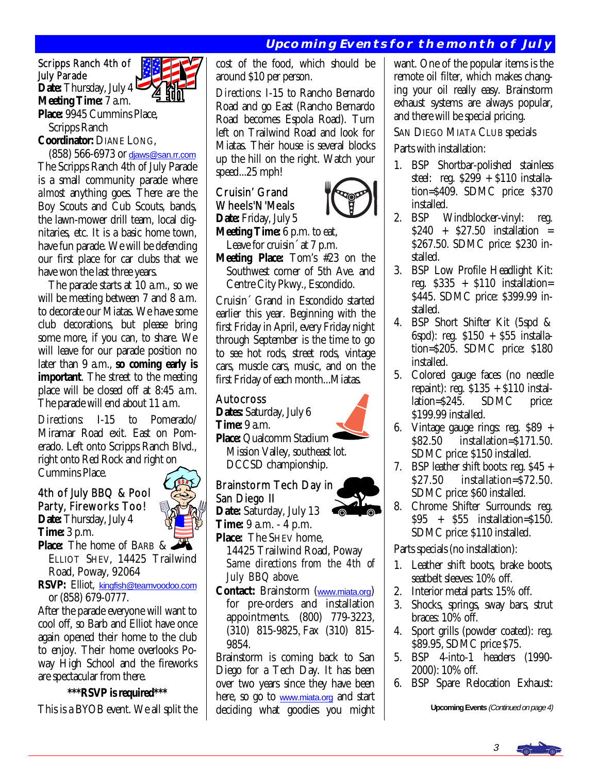# **Upcoming Events for the month of July**

Scripps Ranch 4th of July Parade **Date:** Thursday, July 4 **Meeting Time:** 7 a.m. **Place:** 9945 Cummins Place,

Scripps Ranch

**Coordinator:** DIANE LONG,

 (858) 566-6973 or [djaws@san.rr.com](mailto:djaws@san.rr.com) The Scripps Ranch 4th of July Parade is a small community parade where *almost* anything goes. There are the Boy Scouts and Cub Scouts, bands, the lawn-mower drill team, local dignitaries, etc. It is a basic home town, have fun parade. We will be defending our first place for car clubs that we have won the last three years.

 The parade starts at 10 a.m., so we will be meeting between 7 and 8 a.m. to decorate our Miatas. We have some club decorations, but please bring some more, if you can, to share. We will leave for our parade position no later than 9 a.m., **so coming early is important**. The street to the meeting place will be closed off at 8:45 a.m. The parade will end about 11 a.m.

*Directions:* I-15 to Pomerado/ Miramar Road exit. East on Pomerado. Left onto Scripps Ranch Blvd., right onto Red Rock and right on Cummins Place.

# 4th of July BBQ & Pool Party, Fireworks Too! **Date:** Thursday, July 4 **Time:** 3 p.m.



**Place:** The home of BARB & ELLIOT SHEV, 14425 Trailwind Road, Poway, 92064

**RSVP:** Elliot, [kingfish@teamvoodoo.com](mailto:kingfish@teamvoodoo.com) or (858) 679-0777.

After the parade everyone will want to cool off, so Barb and Elliot have once again opened their home to the club to enjoy. Their home overlooks Poway High School and the fireworks are spectacular from there.

#### **\*\*\*RSVP is required\*\*\***

This is a BYOB event. We all split the

cost of the food, which should be around \$10 per person.

*Directions*: I-15 to Rancho Bernardo Road and go East (Rancho Bernardo Road becomes Espola Road). Turn left on Trailwind Road and look for Miatas. Their house is several blocks up the hill on the right. Watch your speed...25 mph!

# Cruisin' Grand Wheels'N'Meals **Date:** Friday, July 5



**Meeting Time:** 6 p.m. to eat,

Leave for cruisin<sup>o</sup> at 7 p.m. **Meeting Place:** Tom's #23 on the Southwest corner of 5th Ave. and Centre City Pkwy., Escondido.

Cruisin´ Grand in Escondido started earlier this year. Beginning with the first Friday in April, every Friday night through September is the time to go to see hot rods, street rods, vintage cars, muscle cars, music, and on the first Friday of each month...Miatas.

### Autocross

**Dates:** Saturday, July 6 **Time:** 9 a.m.

**Place:** Qualcomm Stadium ' Mission Valley, southeast lot. DCCSD championship.

Brainstorm Tech Day in San Diego II

**Date:** Saturday, July 13

**Time:** 9 a.m. - 4 p.m. **Place:** The SHEV home,

- 14425 Trailwind Road, Poway  *Same directions from the 4th of July BBQ above.*
- **Contact:** Brainstorm ([www.miata.org](http://www.miata.org)) for pre-orders and installation appointments. (800) 779-3223, (310) 815-9825-Fax (310) 815- 9854.

Brainstorm is coming back to San Diego for a Tech Day. It has been over two years since they have been here, so go to [www.miata.org](http://www.miata.org) and start deciding what goodies you might want. One of the popular items is the remote oil filter, which makes changing your oil really easy. Brainstorm exhaust systems are always popular, and there will be special pricing.

#### SAN DIEGO MIATA CLUB specials

Parts with installation:

- 1. BSP Shortbar-polished stainless steel: reg.  $$29\overline{9} + $110$  installation=\$409. SDMC price: \$370 installed.
- 2. BSP Windblocker-vinyl: reg. \$240 + \$27.50 installation = \$267.50. SDMC price: \$230 installed.
- 3. BSP Low Profile Headlight Kit: reg.  $$335 + $110$  installation= \$445. SDMC price: \$399.99 installed.
- 4. BSP Short Shifter Kit (5spd & 6spd): reg. \$150 + \$55 installation=\$205. SDMC price: \$180 installed.
- 5. Colored gauge faces (no needle repaint): reg. \$135 + \$110 installation=\$245. SDMC price: \$199.99 installed.
- 6. Vintage gauge rings: reg. \$89 + \$82.50 installation=\$171.50. SDMC price: \$150 installed.
- 7. BSP leather shift boots: reg. \$45 + \$27.50 installation=\$72.50. SDMC price: \$60 installed.
- 8. Chrome Shifter Surrounds: reg. \$95 + \$55 installation=\$150. SDMC price: \$110 installed.

Parts specials (no installation):

- 1. Leather shift boots, brake boots, seatbelt sleeves: 10% off.
- 2. Interior metal parts: 15% off.
- 3. Shocks, springs, sway bars, strut braces: 10% off.
- 4. Sport grills (powder coated): reg. \$89.95, SDMC price \$75.
- 5. BSP 4-into-1 headers (1990- 2000): 10% off.
- 6. BSP Spare Relocation Exhaust:

**Upcoming Events** (Continued on page 4)





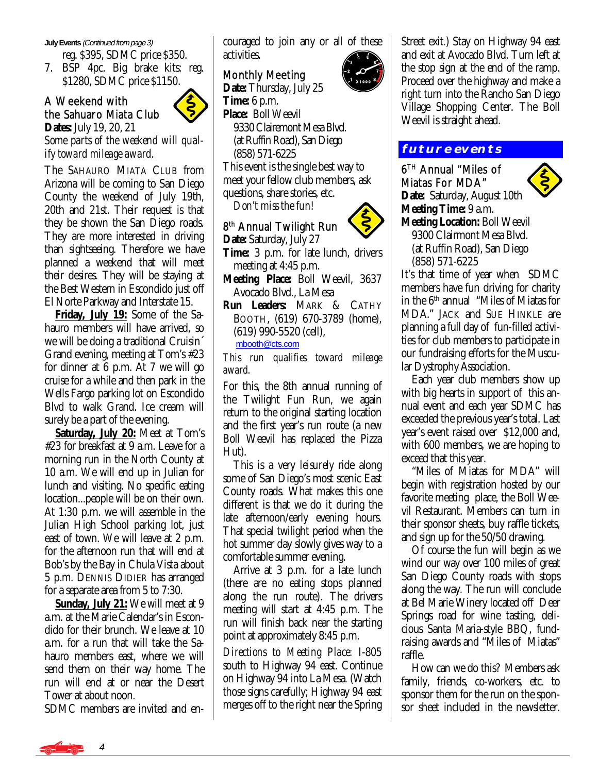#### **July Events** (Continued from page 3)

reg. \$395, SDMC price \$350.

7. BSP 4pc. Big brake kits: reg. \$1280, SDMC price \$1150.

# A Weekend with the Sahuaro Miata Club



**Dates:** July 19, 20, 21 *Some parts of the weekend will qualify toward mileage award.* 

The SAHAURO MIATA CLUB from Arizona will be coming to San Diego County the weekend of July 19th, 20th and 21st. Their request is that they be shown the San Diego roads. They are more interested in driving than sightseeing. Therefore we have planned a weekend that will meet their desires. They will be staying at the Best Western in Escondido just off El Norte Parkway and Interstate 15.

 **Friday, July 19:** Some of the Sahauro members will have arrived, so we will be doing a traditional Cruisin´ Grand evening, meeting at Tom's #23 for dinner at 6 p.m. At 7 we will go cruise for a while and then park in the Wells Fargo parking lot on Escondido Blvd to walk Grand. Ice cream will surely be a part of the evening.

 **Saturday, July 20:** Meet at Tom's #23 for breakfast at 9 a.m. Leave for a morning run in the North County at 10 a.m. We will end up in Julian for lunch and visiting. No specific eating location...people will be on their own. At 1:30 p.m. we will assemble in the Julian High School parking lot, just east of town. We will leave at 2 p.m. for the afternoon run that will end at Bob's by the Bay in Chula Vista about 5 p.m. DENNIS DIDIER has arranged for a separate area from 5 to 7:30.

 **Sunday, July 21:** We will meet at 9 a.m. at the Marie Calendar's in Escondido for their brunch. We leave at 10 a.m. for a run that will take the Sahauro members east, where we will send them on their way home. The run will end at or near the Desert Tower at about noon.

SDMC members are invited and en-

couraged to join any or all of these activities.

# Monthly Meeting

**Date:** Thursday, July 25 **Time:** 6 p.m. **Place:** Boll Weevil 9330 Clairemont Mesa Blvd. (at Ruffin Road), San Diego (858) 571-6225 This event is the single best way to meet your fellow club members, ask questions, share stories, etc. *Don't miss the fun!* 

# 8<sup>th</sup> Annual Twilight Run

**Date:** Saturday, July 27 **Time:** 3 p.m. for late lunch, drivers meeting at 4:45 p.m.

**Meeting Place:** Boll Weevil, 3637 Avocado Blvd., La Mesa

**Run Leaders:** MARK & CATHY BOOTH, (619) 670-3789 (home), (619) 990-5520 (cell),

[mbooth@cts.com](mailto:mbooth@cts.com)

*This run qualifies toward mileage award.* 

For this, the 8th annual running of the Twilight Fun Run, we again return to the original starting location and the first year's run route (a new Boll Weevil has replaced the Pizza Hut).

 This is a very *leisurely* ride along some of San Diego's most scenic East County roads. What makes this one different is that we do it during the late afternoon/early evening hours. That special twilight period when the hot summer day slowly gives way to a comfortable summer evening.

 Arrive at 3 p.m. for a late lunch (there are no eating stops planned along the run route). The drivers meeting will start at 4:45 p.m. The run will finish back near the starting point at approximately 8:45 p.m.

*Directions to Meeting Place:* I-805 south to Highway 94 east. Continue on Highway 94 into La Mesa. (Watch those signs carefully; Highway 94 east merges off to the right near the Spring



Street exit.) Stay on Highway 94 east and exit at Avocado Blvd. Turn left at the stop sign at the end of the ramp. Proceed over the highway and make a right turn into the Rancho San Diego Village Shopping Center. The Boll Weevil is straight ahead.

# **future events**

#### 6TH Annual "Miles of Miatas For MDA"

**Date:** Saturday, August 10th



**Meeting Time:** 9 a.m. **Meeting Location:** Boll Weevil 9300 Clairmont Mesa Blvd. (at Ruffin Road), San Diego

(858) 571-6225

It's that time of year when SDMC members have fun driving for charity in the 6<sup>th</sup> annual "Miles of Miatas for MDA." JACK and SUE HINKLE are planning a full day of fun-filled activities for club members to participate in our fundraising efforts for the Muscular Dystrophy Association.

 Each year club members show up with big hearts in support of this annual event and each year SDMC has exceeded the previous year's total. Last year's event raised over \$12,000 and, with 600 members, we are hoping to exceed that this year.

 "Miles of Miatas for MDA" will begin with registration hosted by our favorite meeting place, the Boll Weevil Restaurant. Members can turn in their sponsor sheets, buy raffle tickets, and sign up for the 50/50 drawing.

 Of course the fun will begin as we wind our way over 100 miles of great San Diego County roads with stops along the way. The run will conclude at Bel Marie Winery located off Deer Springs road for wine tasting, delicious Santa Maria-style BBQ, fundraising awards and "Miles of Miatas" raffle.

 How can we do this? Members ask family, friends, co-workers, etc. to sponsor them for the run on the sponsor sheet included in the newsletter.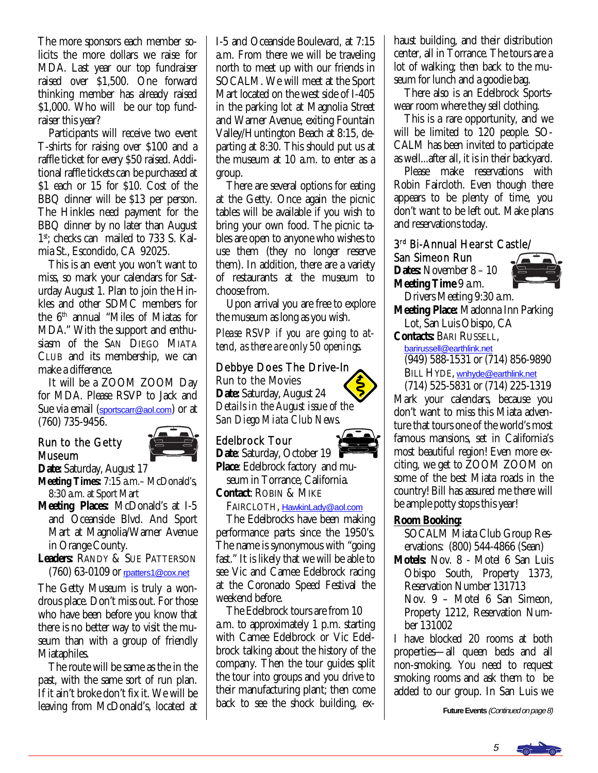The more sponsors each member solicits the more dollars we raise for MDA. Last year our top fundraiser raised over \$1,500. One forward thinking member has already raised \$1,000. Who will be our top fundraiser this year?

 Participants will receive two event T-shirts for raising over \$100 and a raffle ticket for every \$50 raised. Additional raffle tickets can be purchased at \$1 each or 15 for \$10. Cost of the BBQ dinner will be \$13 per person. The Hinkles need payment for the BBQ dinner by no later than August 1<sup>st</sup>; checks can mailed to 733 S. Kalmia St., Escondido, CA 92025.

 This is an event you won't want to miss, so mark your calendars for Saturday August 1. Plan to join the Hinkles and other SDMC members for the 6th annual "Miles of Miatas for MDA." With the support and enthusiasm of the SAN DIEGO MIATA CLUB and its membership, we can make a difference.

 It will be a ZOOM ZOOM Day for MDA. Please RSVP to Jack and Sue via email ([sportscarr@aol.com](mailto:sportscarr@aol.com)) or at (760) 735-9456. ľ

### Run to the Getty Museum



**Date:** Saturday, August 17

- **Meeting Times:** 7:15 a.m.– McDonald's, 8:30 a.m. at Sport Mart
- **Meeting Places:** McDonald's at I-5 and Oceanside Blvd. And Sport Mart at Magnolia/Warner Avenue in Orange County.
- **Leaders:** RANDY & SUE PATTERSON (760) 63-0109 or [rpatters1@cox.net](mailto:rpatters1@cox.net)

The Getty Museum is truly a wondrous place. Don't miss out. For those who have been before you know that there is no better way to visit the museum than with a group of friendly Miataphiles.

 The route will be same as the in the past, with the same sort of run plan. If it ain't broke don't fix it. We will be leaving from McDonald's, located at

I-5 and Oceanside Boulevard, at 7:15 a.m. From there we will be traveling north to meet up with our friends in SOCALM. We will meet at the Sport Mart located on the west side of I-405 in the parking lot at Magnolia Street and Warner Avenue, exiting Fountain Valley/Huntington Beach at 8:15, departing at 8:30. This should put us at the museum at 10 a.m. to enter as a group.

 There are several options for eating at the Getty. Once again the picnic tables will be available if you wish to bring your own food. The picnic tables are open to anyone who wishes to use them (they no longer reserve them). In addition, there are a variety of restaurants at the museum to choose from.

 Upon arrival you are free to explore the museum as long as you wish.

*Please RSVP if you are going to attend, as there are only 50 openings.* 

#### Debbye Does The Drive-In

Run to the Movies **Date:** Saturday, August 24 *Details in the August issue of the San Diego Miata Club News.* 

### Edelbrock Tour

Date: Saturday, October 19 **Place**: Edelbrock factory and mu-

 seum in Torrance, California. **Contact**: ROBIN & MIKE

FAIRCLOTH, [HawkinLady@aol.com](mailto:HawkinLady@aol.com)

 The Edelbrocks have been making performance parts since the 1950's. The name is synonymous with "going fast." It is likely that we will be able to see Vic and Camee Edelbrock racing at the Coronado Speed Festival the weekend before.

 The Edelbrock tours are from 10 a.m. to approximately 1 p.m. starting with Camee Edelbrock or Vic Edelbrock talking about the history of the company. Then the tour guides split the tour into groups and you drive to their manufacturing plant; then come back to see the shock building, exhaust building, and their distribution center, all in Torrance. The tours are a lot of walking; then back to the museum for lunch and a goodie bag.

 There also is an Edelbrock Sportswear room where they sell clothing.

 This is a rare opportunity, and we will be limited to 120 people. SO-CALM has been invited to participate as well...after all, it is in their backyard.

 Please make reservations with Robin Faircloth. Even though there appears to be plenty of time, you don't want to be left out. Make plans and reservations today.

### 3rd Bi-Annual Hearst Castle/

San Simeon Run **Dates:** November 8 – 10 **Meeting Time** 9 a.m.



 Drivers Meeting 9:30 a.m. **Meeting Place:** Madonna Inn Parking Lot, San Luis Obispo, CA

**Contacts:** BARI RUSSELL,

[barirussell@earthlink.net](mailto:barirussell@earthlink.net)

(949) 588-1531 or (714) 856-9890

BILL HYDE, [wnhyde@earthlink.net](mailto:wnhyde@earthlink.net) 

 (714) 525-5831 or (714) 225-1319 Mark your calendars, because you don't want to miss this Miata adventure that tours one of the world's most famous mansions, set in California's most beautiful region! Even more exciting, we get to ZOOM ZOOM on some of the best Miata roads in the country! Bill has assured me there will be ample potty stops this year!

### **Room Booking:**

 SOCALM Miata Club Group Res ervations: (800) 544-4866 (Sean)

**Motels:** Nov. 8 - Motel 6 San Luis Obispo South, Property 1373, Reservation Number 131713 Nov. 9 – Motel 6 San Simeon,

 Property 1212, Reservation Num ber 131002

I have blocked 20 rooms at both properties—all queen beds and all non-smoking. You need to request smoking rooms and ask them to be added to our group. In San Luis we

**Future Events** (Continued on page 8)



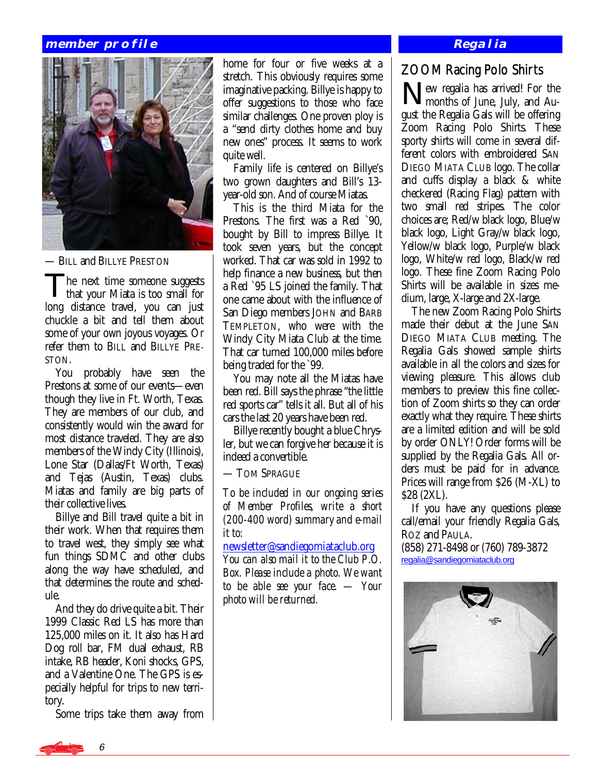#### **member profile**



— BILL and BILLYE PRESTON

The next time someone suggests<br>that your Miata is too small for long distance travel, you can just chuckle a bit and tell them about some of your own joyous voyages. Or refer them to BILL and BILLYE PRE-STON.

 You probably have seen the Prestons at some of our events—even though they live in Ft. Worth, Texas. They are members of our club, and consistently would win the award for most distance traveled. They are also members of the Windy City (Illinois), Lone Star (Dallas/Ft Worth, Texas) and Tejas (Austin, Texas) clubs. Miatas and family are big parts of their collective lives.

 Billye and Bill travel quite a bit in their work. When that requires them to travel west, they simply see what fun things SDMC and other clubs along the way have scheduled, and that determines the route and schedule.

 And they do drive quite a bit. Their 1999 Classic Red LS has more than 125,000 miles on it. It also has Hard Dog roll bar, FM dual exhaust, RB intake, RB header, Koni shocks, GPS, and a Valentine One. The GPS is especially helpful for trips to new territory.

Some trips take them away from

home for four or five weeks at a stretch. This obviously requires some imaginative packing. Billye is happy to offer suggestions to those who face similar challenges. One proven ploy is a "send dirty clothes home and buy new ones" process. It seems to work quite well.

 Family life is centered on Billye's two grown daughters and Bill's 13 year-old son. And of course Miatas.

 This is the third Miata for the Prestons. The first was a Red `90, bought by Bill to impress Billye. It took seven years, but the concept worked. That car was sold in 1992 to help finance a new business, but then a Red `95 LS joined the family. That one came about with the influence of San Diego members JOHN and BARB TEMPLETON, who were with the Windy City Miata Club at the time. That car turned 100,000 miles before being traded for the `99.

 You may note all the Miatas have been red. Bill says the phrase "the little red sports car" tells it all. But all of his cars the last 20 years have been red.

 Billye recently bought a blue Chrysler, but we can forgive her because it is indeed a convertible.

— TOM SPRAGUE

*To be included in our ongoing series of Member Profiles, write a short (200-400 word) summary and e-mail it to:* 

[newsletter@sandiegomiataclub.org](mailto:newsletter@sandiegomiataclub.org) *You can also mail it to the Club P.O. Box. Please include a photo. We want to be able see your face. — Your photo will be returned.*

#### **Regalia**

# ZOOM Racing Polo Shirts

New regalia has arrived! For the months of June, July, and August the Regalia Gals will be offering Zoom Racing Polo Shirts. These sporty shirts will come in several different colors with embroidered SAN DIEGO MIATA CLUB logo. The collar and cuffs display a black & white checkered (Racing Flag) pattern with two small red stripes. The color choices are; Red/w black logo, Blue/w black logo, Light Gray/w black logo, Yellow/w black logo, Purple/w black logo, White/w red logo, Black/w red logo. These fine Zoom Racing Polo Shirts will be available in sizes medium, large, X-large and 2X-large.

 The new Zoom Racing Polo Shirts made their debut at the June SAN DIEGO MIATA CLUB meeting. The Regalia Gals showed sample shirts available in all the colors and sizes for viewing pleasure. This allows club members to preview this fine collection of Zoom shirts so they can order exactly what they require. These shirts are a limited edition and will be sold by order ONLY! Order forms will be supplied by the Regalia Gals. All orders must be paid for in advance. Prices will range from \$26 (M-XL) to \$28 (2XL).

 If you have any questions please call/email your friendly Regalia Gals, ROZ and PAULA.

(858) 271-8498 or (760) 789-3872 [regalia@sandiegomiataclub.org](mailto:regalia@sandiegomiataclub.org)

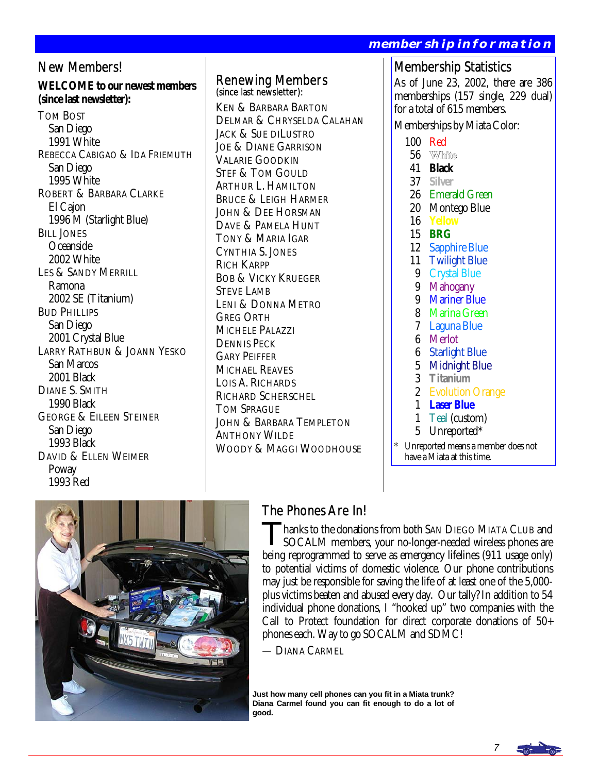#### **WELCOME to our newest members**  REBECCA CABIGAO & IDA FRIEMUTH ROBERT & BARBARA CLARKE LARRY RATHBUN & JOANN YESKO Membership Statistics As of June 23, 2002, there are 386 memberships (157 single, 229 dual) for a total of 615 members. Memberships by Miata Color: 100 Red 56 White 41 **Black** 37 **Silver** 26 Emerald Green 20 Montego Blue<br>16 Yellow 16 **Yellow** 15 **BRG** 12 Sapphire Blue 11 Twilight Blue 9 Crystal Blue 9 Mahogany 9 Mariner Blue 8 Marina Green 7 Laguna Blue 6 Merlot 6 Starlight Blue 5 Midnight Blue 3 **Titanium** 2 Evolution Orange 1 **Laser Blue** 1 Teal (custom) 5 Unreported\* Renewing Members (since last newsletter): KEN & BARBARA BARTON DELMAR & CHRYSELDA CALAHAN JACK & SUE DILUSTRO JOE & DIANE GARRISON VALARIE GOODKIN STEF & TOM GOULD ARTHUR L. HAMILTON BRUCE & LEIGH HARMER JOHN & DEE HORSMAN DAVE & PAMELA HUNT TONY & MARIA IGAR CYNTHIA S. JONES RICH KARPP BOB & VICKY KRUEGER STEVE LAMB LENI & DONNA METRO GREG ORTH MICHELE PALAZZI DENNIS PECK GARY PEIFFER MICHAEL REAVES LOIS A. RICHARDS RICHARD SCHERSCHEL **TOM SPRAGUE** JOHN & BARBARA TEMPLETON ANTHONY WILDE

WOODY & MAGGI WOODHOUSE

Unreported means a member does not have a Miata at this time.

**membership information** 



New Members!

**(since last newsletter):** 

TOM BOST San Diego 1991 White

> San Diego 1995 White

El Cajon

BILL JONES Oceanside 2002 White

Ramona

BUD PHILLIPS San Diego

 San Marcos 2001 Black DIANE S. SMITH 1990 Black

> San Diego 1993 Black

 Poway 1993 Red

1996 M (Starlight Blue)

LES & SANDY MERRILL

2002 SE (Titanium)

2001 Crystal Blue

GEORGE & EILEEN STEINER

DAVID & ELLEN WEIMER

# The Phones Are In!

Thanks to the donations from both SAN DIEGO MIATA CLUB and SOCALM members, your no-longer-needed wireless phones are being reprogrammed to serve as emergency lifelines (911 usage only) to potential victims of domestic violence. Our phone contributions may just be responsible for saving the life of at least one of the 5,000 plus victims beaten and abused every day. Our tally? In addition to 54 individual phone donations, I "hooked up" two companies with the Call to Protect foundation for direct corporate donations of 50+ phones each. Way to go SOCALM and SDMC!

— DIANA CARMEL

**Just how many cell phones can you fit in a Miata trunk? Diana Carmel found you can fit enough to do a lot of good.** 

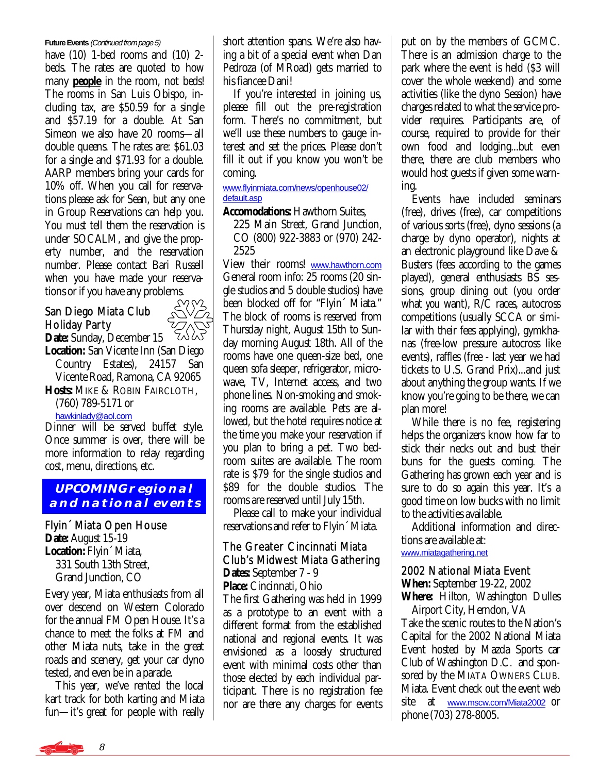#### **Future Events** (Continued from page 5)

have (10) 1-bed rooms and (10) 2 beds. The rates are quoted to how many **people** in the room, not beds! The rooms in San Luis Obispo, including tax, are \$50.59 for a single and \$57.19 for a double. At San Simeon we also have 20 rooms—all double queens. The rates are: \$61.03 for a single and \$71.93 for a double. AARP members bring your cards for 10% off. When you call for reservations please ask for Sean, but any one in Group Reservations can help you. You *must* tell them the reservation is under SOCALM, and give the property number, and the reservation number. Please contact Bari Russell when you have made your reserva-

# tions or if you have any problems.<br>San Diego Miata Club  $\sqrt{2\sqrt{2}}$ San Diego Miata Club Holiday Party



**Date:** Sunday, December 15 **Location:** San Vicente Inn (San Diego Country Estates), 24157 San Vicente Road, Ramona, CA 92065 **Hosts:** MIKE & ROBIN FAIRCLOTH,

 (760) 789-5171 or [hawkinlady@aol.com](mailto:hawkinlady@aol.com)

Dinner will be served buffet style. Once summer is over, there will be more information to relay regarding cost, menu, directions, etc.

# **UPCOMING regional and national events**

Flyin´ Miata Open House **Date:** August 15-19 **Location:** Flyin´ Miata, 331 South 13th Street, Grand Junction, CO

Every year, Miata enthusiasts from all over descend on Western Colorado for the annual FM Open House. It's a chance to meet the folks at FM and other Miata nuts, take in the great roads and scenery, get your car dyno tested, and even be in a parade.

 This year, we've rented the local kart track for both karting and Miata fun—it's great for people with really short attention spans. We're also having a bit of a special event when Dan Pedroza (of MRoad) gets married to his fiancee Dani!

 If you're interested in joining us, please fill out the pre-registration form. There's no commitment, but we'll use these numbers to gauge interest and set the prices. Please don't fill it out if you know you won't be coming.

#### [www.flyinmiata.com/news/openhouse02/](http://www.flyinmiata.com/news/openhouse02/default.asp) [default.asp](http://www.flyinmiata.com/news/openhouse02/default.asp)

**Accomodations:** Hawthorn Suites,

 225 Main Street, Grand Junction, CO (800) 922-3883 or (970) 242- 2525

View their rooms! [www.hawthorn.com](http://www.hawthorn.com) General room info: 25 rooms (20 single studios and 5 double studios) have been blocked off for "Flyin´ Miata." The block of rooms is reserved from Thursday night, August 15th to Sunday morning August 18th. All of the rooms have one queen-size bed, one queen sofa sleeper, refrigerator, microwave, TV, Internet access, and two phone lines. Non-smoking and smoking rooms are available. Pets are allowed, but the hotel requires notice at the time you make your reservation if you plan to bring a pet. Two bedroom suites are available. The room rate is \$79 for the single studios and \$89 for the double studios. The rooms are reserved until July 15th.

 Please call to make your individual reservations and refer to Flyin´ Miata.

#### The Greater Cincinnati Miata Club's Midwest Miata Gathering **Dates:** September 7 - 9

**Place:** Cincinnati, Ohio

The first Gathering was held in 1999 as a prototype to an event with a different format from the established national and regional events. It was envisioned as a loosely structured event with minimal costs other than those elected by each individual participant. There is no registration fee nor are there any charges for events

put on by the members of GCMC. There is an admission charge to the park where the event is held (\$3 will cover the whole weekend) and some activities (like the dyno Session) have charges related to what the service provider requires. Participants are, of course, required to provide for their own food and lodging...but even there, there are club members who would host guests if given some warning.

 Events have included seminars (free), drives (free), car competitions of various sorts (free), dyno sessions (a charge by dyno operator), nights at an electronic playground like Dave & Busters (fees according to the games played), general enthusiasts BS sessions, group dining out (you order what *you* want), R/C races, autocross competitions (usually SCCA or similar with their fees applying), gymkhanas (free-low pressure autocross like events), raffles (free - last year we had tickets to U.S. Grand Prix)...and just about anything the group wants. If we know you're going to be there, we can plan more!

 While there is no fee, registering helps the organizers know how far to stick their necks out and bust their buns for the guests coming. The Gathering has grown each year and is sure to do so again this year. It's a good time on low bucks with no limit to the activities available.

 Additional information and directions are available at:

# [www.miatagathering.net](http://www.miatagathering.net)

#### 2002 National Miata Event

**When:** September 19-22, 2002

**Where:** Hilton, Washington Dulles Airport City, Herndon, VA

Take the scenic routes to the Nation's Capital for the 2002 National Miata Event hosted by Mazda Sports car Club of Washington D.C. and sponsored by the MIATA OWNERS CLUB. Miata. Event check out the event web site at [www.mscw.com/Miata2002](http://www.mscw.com/Miata2002) or phone (703) 278-8005.

8 <del>ma Car</del>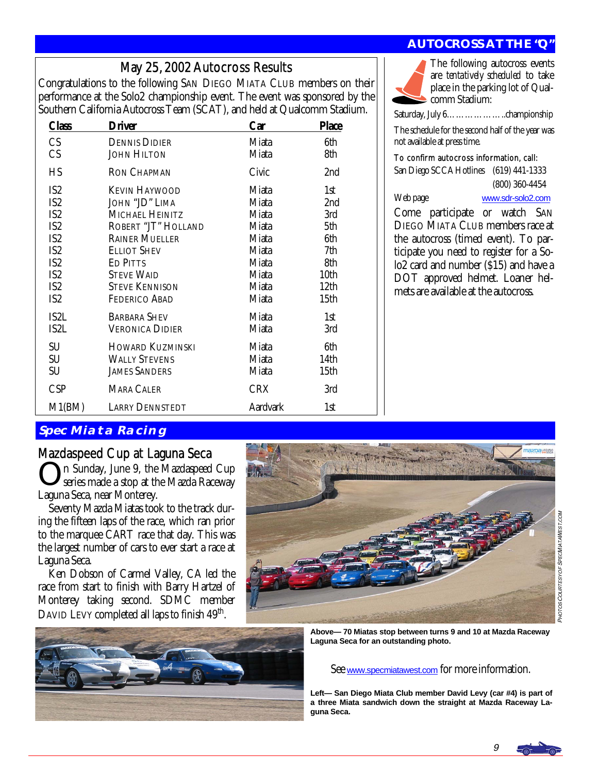# May 25, 2002 Autocross Results

Congratulations to the following SAN DIEGO MIATA CLUB members on their performance at the Solo2 championship event. The event was sponsored by the Southern California Autocross Team (SCAT), and held at Qualcomm Stadium.

| <b>Class</b>    | <b>Driver</b>          | Car             | <b>Place</b>     |
|-----------------|------------------------|-----------------|------------------|
| CS              | <b>DENNIS DIDIER</b>   | Miata           | 6th              |
| CS              | <b>JOHN HILTON</b>     | Miata           | 8th              |
| H <sub>S</sub>  | <b>RON CHAPMAN</b>     | Civic           | 2nd              |
| IS <sub>2</sub> | <b>KEVIN HAYWOOD</b>   | Miata           | 1st              |
| IS <sub>2</sub> | JOHN "JD" LIMA         | Miata           | 2nd              |
| IS <sub>2</sub> | MICHAEL HEINITZ        | Miata           | 3rd              |
| IS <sub>2</sub> | ROBERT "JT" HOLLAND    | Miata           | 5th              |
| IS <sub>2</sub> | <b>RAINER MUELLER</b>  | Miata           | 6th              |
| IS <sub>2</sub> | ELLIOT SHEV            | Miata           | 7th              |
| IS <sub>2</sub> | ED PITTS               | Miata           | 8th              |
| IS <sub>2</sub> | <b>STEVE WAID</b>      | Miata           | 10th             |
| IS <sub>2</sub> | <b>STEVE KENNISON</b>  | Miata           | 12 <sub>th</sub> |
| IS <sub>2</sub> | FEDERICO ABAD          | Miata           | 15th             |
| IS2L            | <b>BARBARA SHEV</b>    | Miata           | 1st              |
| IS2L            | Veronica Didier        | Miata           | 3rd              |
| SU              | HOWARD KUZMINSKI       | Miata           | 6th              |
| SU              | <b>WALLY STEVENS</b>   | Miata           | 14th             |
| SU              | <b>JAMES SANDERS</b>   | Miata           | 15th             |
| <b>CSP</b>      | <b>MARA CALER</b>      | <b>CRX</b>      | 3rd              |
| M1(BM)          | <b>LARRY DENNSTEDT</b> | <b>Aardvark</b> | 1st              |

# **AUTOCROSS AT THE "Q"**

The following autocross events are *tentatively scheduled* to take place in the parking lot of Qualcomm Stadium:

Saturday, July 6………………..championship

The schedule for the second half of the year was not available at press time.

#### To confirm autocross information, call:

San Diego SCCA Hotlines (619) 441-1333 (800) 360-4454

Web page [www.sdr-solo2.com](http://www.sdr-solo2.com)

Come participate or watch SAN DIEGO MIATA CLUB members race at the autocross (timed event). To participate you need to register for a Solo2 card and number (\$15) and have a DOT approved helmet. Loaner helmets are available at the autocross.

# **Spec Miata Racing**

# Mazdaspeed Cup at Laguna Seca

In Sunday, June 9, the Mazdaspeed Cup series made a stop at the Mazda Raceway Laguna Seca, near Monterey.

 Seventy Mazda Miatas took to the track during the fifteen laps of the race, which ran prior to the marquee CART race that day. This was the largest number of cars to ever start a race at Laguna Seca.

 Ken Dobson of Carmel Valley, CA led the race from start to finish with Barry Hartzel of Monterey taking second. SDMC member DAVID LEVY completed all laps to finish 49<sup>th</sup>.





**Above— 70 Miatas stop between turns 9 and 10 at Mazda Raceway Laguna Seca for an outstanding photo.** 

See [www.specmiatawest.com](http://www.specmiatawest.com) for more information.

**Left— San Diego Miata Club member David Levy (car #4) is part of a three Miata sandwich down the straight at Mazda Raceway Laguna Seca.** 

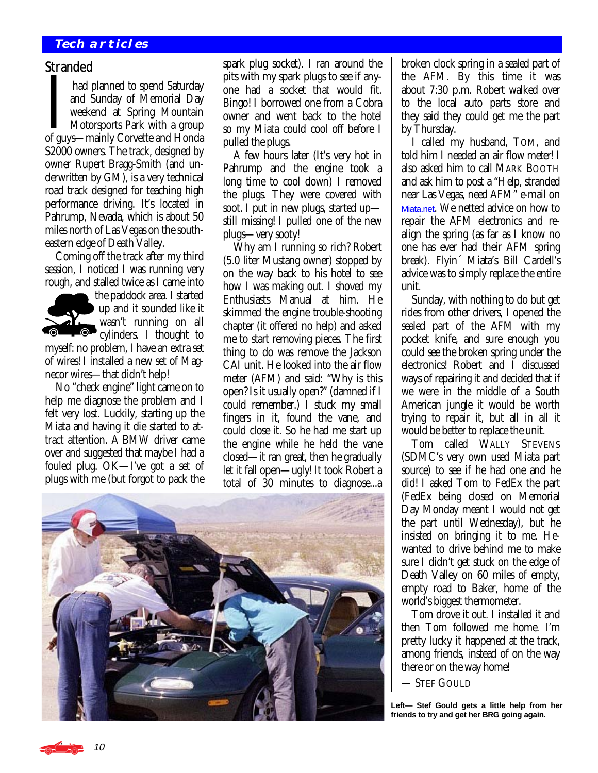#### **Tech articles**

#### **Stranded**

I had planned to spend Saturday<br>
and Sunday of Memorial Day<br>
weekend at Spring Mountain<br>
Motorsports Park with a group<br>
of guys—mainly Corvette and Honda and Sunday of Memorial Day weekend at Spring Mountain Motorsports Park with a group S2000 owners. The track, designed by owner Rupert Bragg-Smith (and underwritten by GM), is a very technical road track designed for teaching high performance driving. It's located in Pahrump, Nevada, which is about 50 miles north of Las Vegas on the southeastern edge of Death Valley.

 Coming off the track after my third session, I noticed I was running very rough, and stalled twice as I came into



the paddock area. I started up and it sounded like it wasn't running on all cylinders. I thought to

myself: no problem, I have an extra set of wires! I installed a new set of Magnecor wires—that didn't help!

 No "check engine" light came on to help me diagnose the problem and I felt very lost. Luckily, starting up the Miata and having it die started to attract attention. A BMW driver came over and suggested that maybe I had a fouled plug. OK—I've got a set of plugs with me (but forgot to pack the spark plug socket). I ran around the pits with my spark plugs to see if anyone had a socket that would fit. Bingo! I borrowed one from a Cobra owner and went back to the hotel so my Miata could cool off before I pulled the plugs.

 A few hours later (It's very hot in Pahrump and the engine took a long time to cool down) I removed the plugs. They were covered with soot. I put in new plugs, started up still missing! I pulled one of the new plugs—very sooty!

 Why am I running so rich? Robert (5.0 liter Mustang owner) stopped by on the way back to his hotel to see how I was making out. I shoved my Enthusiasts Manual at him. He skimmed the engine trouble-shooting chapter (it offered no help) and asked me to start removing pieces. The first thing to do was remove the Jackson CAI unit. He looked into the air flow meter (AFM) and said: "Why is this open? Is it usually open?" (damned if I could remember.) I stuck my small fingers in it, found the vane, and could close it. So he had me start up the engine while he held the vane closed—it ran great, then he gradually let it fall open—ugly! It took Robert a total of 30 minutes to diagnose...a



broken clock spring in a sealed part of the AFM. By this time it was about 7:30 p.m. Robert walked over to the local auto parts store and they said they could get me the part by Thursday.

 I called my husband, TOM, and told him I needed an air flow meter! I also asked him to call MARK BOOTH and ask him to post a "Help, stranded near Las Vegas, need AFM" e-mail on [Miata.net](http://www.miata.net). We netted advice on how to repair the AFM electronics and realign the spring (as far as I know no one has ever had their AFM spring break). Flyin´ Miata's Bill Cardell's advice was to simply replace the entire unit.

 Sunday, with nothing to do but get rides from other drivers, I opened the sealed part of the AFM with my pocket knife, and sure enough you could see the broken spring under the electronics! Robert and I discussed ways of repairing it and decided that if we were in the middle of a South American jungle it would be worth trying to repair it, but all in all it would be better to replace the unit.

 Tom called WALLY STEVENS (SDMC's very own used Miata part source) to see if he had one and he did! I asked Tom to FedEx the part (FedEx being closed on Memorial Day Monday meant I would not get the part until Wednesday), but he insisted on bringing it to me. Hewanted to drive behind me to make sure I didn't get stuck on the edge of Death Valley on 60 miles of empty, empty road to Baker, home of the world's biggest thermometer.

 Tom drove it out. I installed it and then Tom followed me home. I'm pretty lucky it happened at the track, among friends, instead of on the way there or on the way home!

#### — STEF GOULD

**Left— Stef Gould gets a little help from her friends to try and get her BRG going again.** 

10